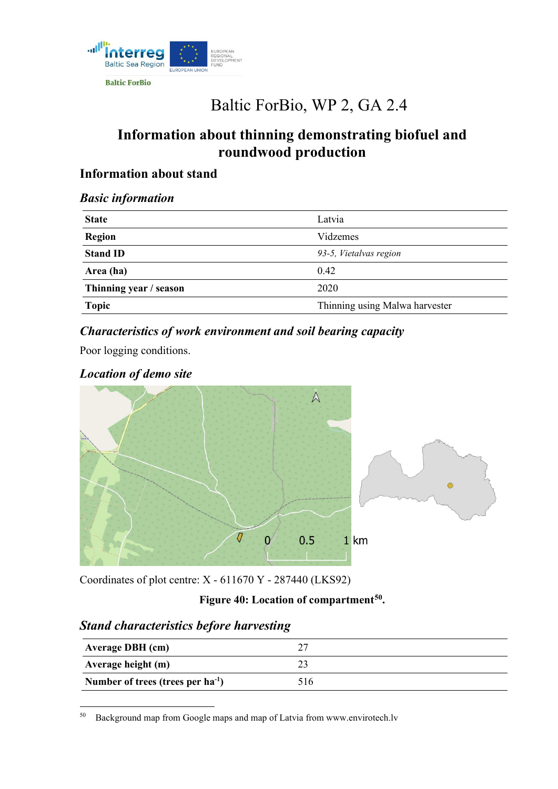

**Baltic ForBio** 

# Baltic ForBio, WP 2, GA 2.4

## **Information about thinning demonstrating biofuel and roundwood production**

## **Information about stand**

## *Basic information*

| <b>State</b>           | Latvia                         |
|------------------------|--------------------------------|
| <b>Region</b>          | Vidzemes                       |
| <b>Stand ID</b>        | 93-5, Vietalvas region         |
| Area (ha)              | 0.42                           |
| Thinning year / season | 2020                           |
| <b>Topic</b>           | Thinning using Malwa harvester |

## *Characteristics of work environment and soil bearing capacity*

Poor logging conditions.

## *Location of demo site*



Coordinates of plot centre: X - 611670 Y - 287440 (LKS92)

## **Figure 40: Location of compartment[50](#page-0-0).**

## *Stand characteristics before harvesting*

| <b>Average DBH</b> (cm)                |     |
|----------------------------------------|-----|
| Average height (m)                     |     |
| Number of trees (trees per $ha^{-1}$ ) | 516 |

<span id="page-0-0"></span><sup>50</sup> [Background map from Google maps and map of Latvia from www.envirotech.lv](http://www.envirotech.lv/)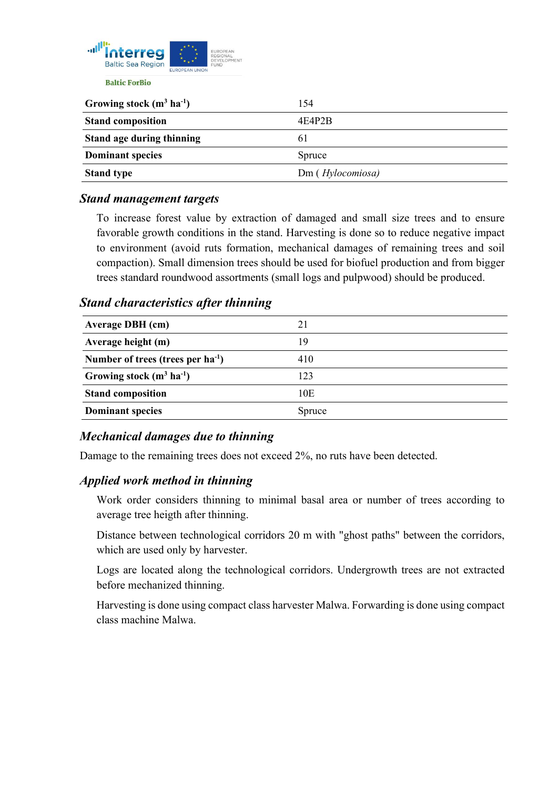

| Growing stock $(m^3 \text{ ha}^{-1})$ | 154              |
|---------------------------------------|------------------|
| <b>Stand composition</b>              | 4E4P2B           |
| <b>Stand age during thinning</b>      | 61               |
| <b>Dominant species</b>               | Spruce           |
| <b>Stand type</b>                     | Dm (Hylocomiosa) |

#### *Stand management targets*

To increase forest value by extraction of damaged and small size trees and to ensure favorable growth conditions in the stand. Harvesting is done so to reduce negative impact to environment (avoid ruts formation, mechanical damages of remaining trees and soil compaction). Small dimension trees should be used for biofuel production and from bigger trees standard roundwood assortments (small logs and pulpwood) should be produced.

## *Stand characteristics after thinning*

| <b>Average DBH</b> (cm)                | 21     |
|----------------------------------------|--------|
| Average height (m)                     | 19     |
| Number of trees (trees per $ha^{-1}$ ) | 410    |
| Growing stock $(m^3 \text{ ha}^{-1})$  | 123    |
| <b>Stand composition</b>               | 10E    |
| <b>Dominant species</b>                | Spruce |
|                                        |        |

## *Mechanical damages due to thinning*

Damage to the remaining trees does not exceed 2%, no ruts have been detected.

## *Applied work method in thinning*

Work order considers thinning to minimal basal area or number of trees according to average tree heigth after thinning.

Distance between technological corridors 20 m with "ghost paths" between the corridors, which are used only by harvester.

Logs are located along the technological corridors. Undergrowth trees are not extracted before mechanized thinning.

Harvesting is done using compact class harvester Malwa. Forwarding is done using compact class machine Malwa.